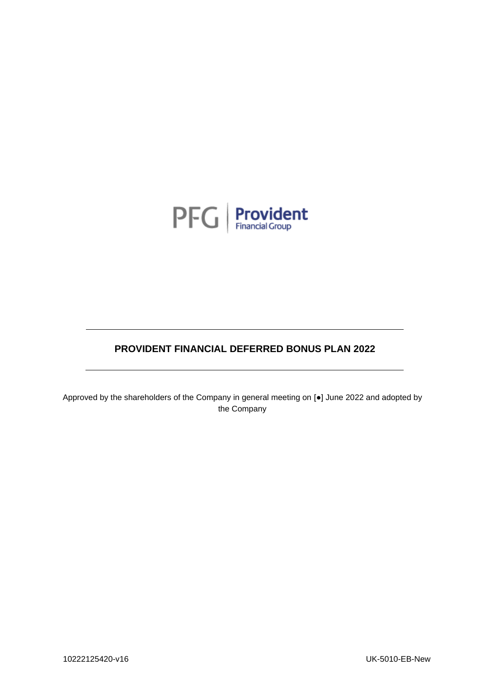

# **PROVIDENT FINANCIAL DEFERRED BONUS PLAN 2022**

Approved by the shareholders of the Company in general meeting on [●] June 2022 and adopted by the Company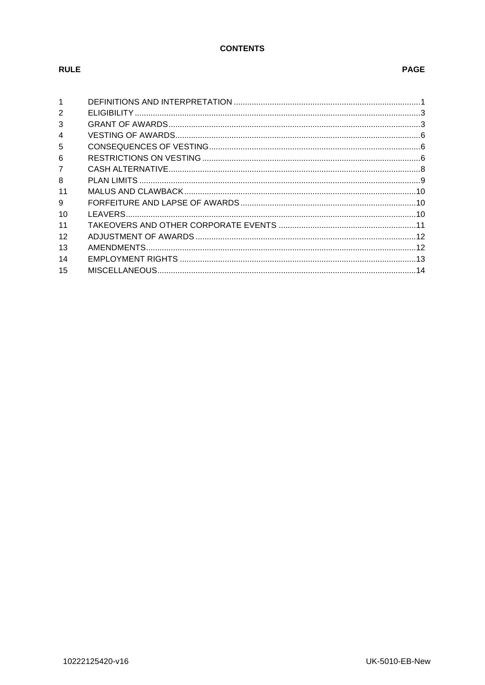## **CONTENTS**

# **RULE**

# **PAGE**

| 1              |  |
|----------------|--|
| $\overline{2}$ |  |
| 3              |  |
| 4              |  |
| 5              |  |
| 6              |  |
| $\overline{7}$ |  |
| 8              |  |
| 11             |  |
| 9              |  |
| 10             |  |
| 11             |  |
| 12             |  |
| 13             |  |
| 14             |  |
| 15             |  |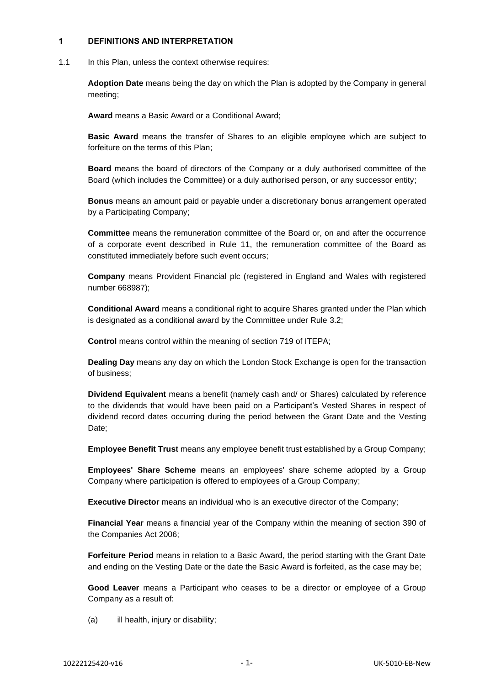### **1 DEFINITIONS AND INTERPRETATION**

1.1 In this Plan, unless the context otherwise requires:

**Adoption Date** means being the day on which the Plan is adopted by the Company in general meeting;

**Award** means a Basic Award or a Conditional Award;

**Basic Award** means the transfer of Shares to an eligible employee which are subject to forfeiture on the terms of this Plan;

**Board** means the board of directors of the Company or a duly authorised committee of the Board (which includes the Committee) or a duly authorised person, or any successor entity;

**Bonus** means an amount paid or payable under a discretionary bonus arrangement operated by a Participating Company;

**Committee** means the remuneration committee of the Board or, on and after the occurrence of a corporate event described in Rule [11,](#page-12-0) the remuneration committee of the Board as constituted immediately before such event occurs;

**Company** means Provident Financial plc (registered in England and Wales with registered number 668987);

**Conditional Award** means a conditional right to acquire Shares granted under the Plan which is designated as a conditional award by the Committee under Rule [3.2;](#page-4-0)

**Control** means control within the meaning of section 719 of ITEPA;

**Dealing Day** means any day on which the London Stock Exchange is open for the transaction of business;

**Dividend Equivalent** means a benefit (namely cash and/ or Shares) calculated by reference to the dividends that would have been paid on a Participant's Vested Shares in respect of dividend record dates occurring during the period between the Grant Date and the Vesting Date:

**Employee Benefit Trust** means any employee benefit trust established by a Group Company;

**Employees' Share Scheme** means an employees' share scheme adopted by a Group Company where participation is offered to employees of a Group Company;

**Executive Director** means an individual who is an executive director of the Company;

**Financial Year** means a financial year of the Company within the meaning of section 390 of the Companies Act 2006;

**Forfeiture Period** means in relation to a Basic Award, the period starting with the Grant Date and ending on the Vesting Date or the date the Basic Award is forfeited, as the case may be;

**Good Leaver** means a Participant who ceases to be a director or employee of a Group Company as a result of:

(a) ill health, injury or disability;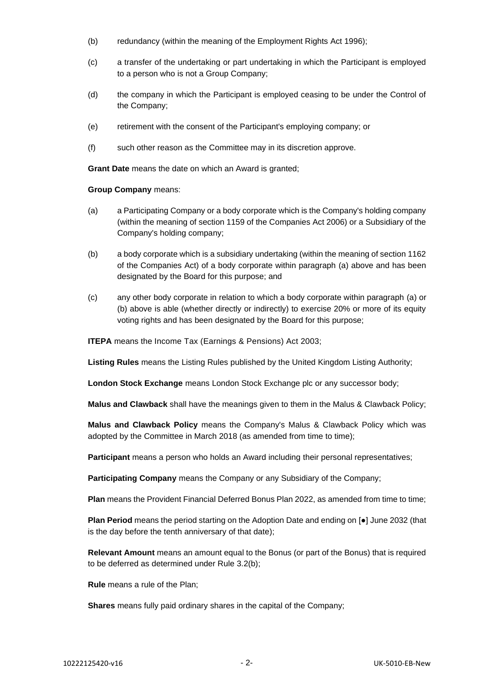- (b) redundancy (within the meaning of the Employment Rights Act 1996);
- (c) a transfer of the undertaking or part undertaking in which the Participant is employed to a person who is not a Group Company;
- (d) the company in which the Participant is employed ceasing to be under the Control of the Company;
- (e) retirement with the consent of the Participant's employing company; or
- (f) such other reason as the Committee may in its discretion approve.

**Grant Date** means the date on which an Award is granted:

**Group Company** means:

- <span id="page-3-0"></span>(a) a Participating Company or a body corporate which is the Company's holding company (within the meaning of section 1159 of the Companies Act 2006) or a Subsidiary of the Company's holding company;
- <span id="page-3-1"></span>(b) a body corporate which is a subsidiary undertaking (within the meaning of section 1162 of the Companies Act) of a body corporate within paragraph [\(a\)](#page-3-0) above and has been designated by the Board for this purpose; and
- (c) any other body corporate in relation to which a body corporate within paragraph [\(a\)](#page-3-0) or [\(b\)](#page-3-1) above is able (whether directly or indirectly) to exercise 20% or more of its equity voting rights and has been designated by the Board for this purpose;

**ITEPA** means the Income Tax (Earnings & Pensions) Act 2003;

**Listing Rules** means the Listing Rules published by the United Kingdom Listing Authority;

**London Stock Exchange** means London Stock Exchange plc or any successor body;

**Malus and Clawback** shall have the meanings given to them in the Malus & Clawback Policy;

**Malus and Clawback Policy** means the Company's Malus & Clawback Policy which was adopted by the Committee in March 2018 (as amended from time to time);

**Participant** means a person who holds an Award including their personal representatives;

**Participating Company** means the Company or any Subsidiary of the Company;

Plan means the Provident Financial Deferred Bonus Plan 2022, as amended from time to time;

**Plan Period** means the period starting on the Adoption Date and ending on [●] June 2032 (that is the day before the tenth anniversary of that date);

**Relevant Amount** means an amount equal to the Bonus (or part of the Bonus) that is required to be deferred as determined under Rule [3.2\(b\);](#page-5-0)

**Rule** means a rule of the Plan;

**Shares** means fully paid ordinary shares in the capital of the Company;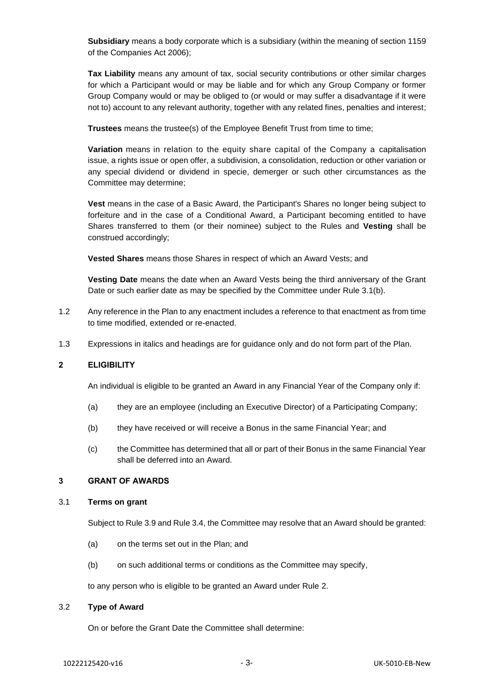**Subsidiary** means a body corporate which is a subsidiary (within the meaning of section 1159 of the Companies Act 2006);

**Tax Liability** means any amount of tax, social security contributions or other similar charges for which a Participant would or may be liable and for which any Group Company or former Group Company would or may be obliged to (or would or may suffer a disadvantage if it were not to) account to any relevant authority, together with any related fines, penalties and interest;

**Trustees** means the trustee(s) of the Employee Benefit Trust from time to time;

**Variation** means in relation to the equity share capital of the Company a capitalisation issue, a rights issue or open offer, a subdivision, a consolidation, reduction or other variation or any special dividend or dividend in specie, demerger or such other circumstances as the Committee may determine;

**Vest** means in the case of a Basic Award, the Participant's Shares no longer being subject to forfeiture and in the case of a Conditional Award, a Participant becoming entitled to have Shares transferred to them (or their nominee) subject to the Rules and **Vesting** shall be construed accordingly;

**Vested Shares** means those Shares in respect of which an Award Vests; and

**Vesting Date** means the date when an Award Vests being the third anniversary of the Grant Date or such earlier date as may be specified by the Committee under Rule [3.1\(b\).](#page-4-1)

- 1.2 Any reference in the Plan to any enactment includes a reference to that enactment as from time to time modified, extended or re-enacted.
- 1.3 Expressions in italics and headings are for guidance only and do not form part of the Plan.

### <span id="page-4-2"></span>**2 ELIGIBILITY**

An individual is eligible to be granted an Award in any Financial Year of the Company only if:

- (a) they are an employee (including an Executive Director) of a Participating Company;
- (b) they have received or will receive a Bonus in the same Financial Year; and
- (c) the Committee has determined that all or part of their Bonus in the same Financial Year shall be deferred into an Award.

### **3 GRANT OF AWARDS**

### 3.1 **Terms on grant**

Subject to Rule [3.9](#page-6-0) and Rule [3.4,](#page-5-1) the Committee may resolve that an Award should be granted:

- (a) on the terms set out in the Plan; and
- <span id="page-4-1"></span>(b) on such additional terms or conditions as the Committee may specify,

to any person who is eligible to be granted an Award under Rule [2.](#page-4-2)

#### <span id="page-4-0"></span>3.2 **Type of Award**

On or before the Grant Date the Committee shall determine: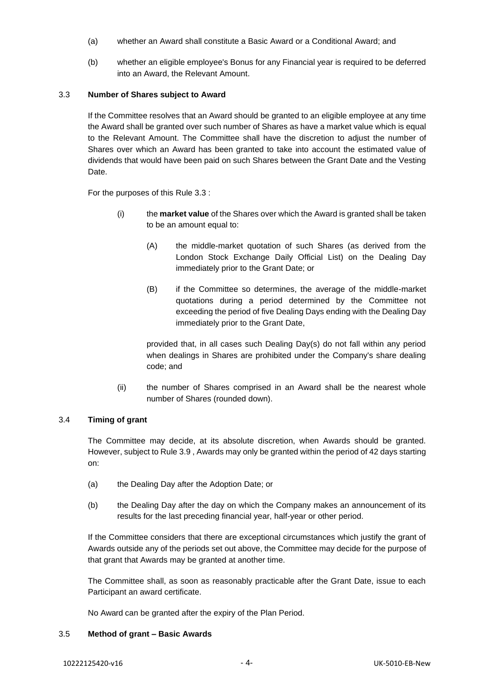- (a) whether an Award shall constitute a Basic Award or a Conditional Award; and
- <span id="page-5-0"></span>(b) whether an eligible employee's Bonus for any Financial year is required to be deferred into an Award, the Relevant Amount.

### <span id="page-5-2"></span>3.3 **Number of Shares subject to Award**

If the Committee resolves that an Award should be granted to an eligible employee at any time the Award shall be granted over such number of Shares as have a market value which is equal to the Relevant Amount. The Committee shall have the discretion to adjust the number of Shares over which an Award has been granted to take into account the estimated value of dividends that would have been paid on such Shares between the Grant Date and the Vesting Date.

For the purposes of this Rule [3.3](#page-5-2) :

- (i) the **market value** of the Shares over which the Award is granted shall be taken to be an amount equal to:
	- (A) the middle-market quotation of such Shares (as derived from the London Stock Exchange Daily Official List) on the Dealing Day immediately prior to the Grant Date; or
	- (B) if the Committee so determines, the average of the middle-market quotations during a period determined by the Committee not exceeding the period of five Dealing Days ending with the Dealing Day immediately prior to the Grant Date,

provided that, in all cases such Dealing Day(s) do not fall within any period when dealings in Shares are prohibited under the Company's share dealing code; and

(ii) the number of Shares comprised in an Award shall be the nearest whole number of Shares (rounded down).

### <span id="page-5-1"></span>3.4 **Timing of grant**

The Committee may decide, at its absolute discretion, when Awards should be granted. However, subject to Rule [3.9](#page-6-0) , Awards may only be granted within the period of 42 days starting on:

- (a) the Dealing Day after the Adoption Date; or
- (b) the Dealing Day after the day on which the Company makes an announcement of its results for the last preceding financial year, half-year or other period.

If the Committee considers that there are exceptional circumstances which justify the grant of Awards outside any of the periods set out above, the Committee may decide for the purpose of that grant that Awards may be granted at another time.

The Committee shall, as soon as reasonably practicable after the Grant Date, issue to each Participant an award certificate.

No Award can be granted after the expiry of the Plan Period.

#### 3.5 **Method of grant – Basic Awards**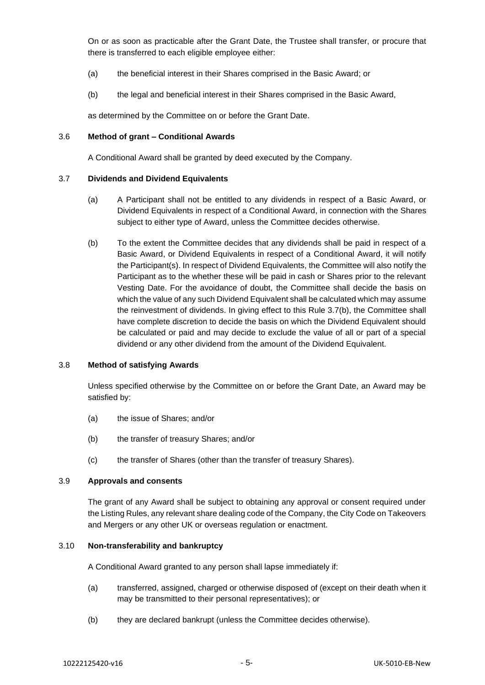On or as soon as practicable after the Grant Date, the Trustee shall transfer, or procure that there is transferred to each eligible employee either:

- (a) the beneficial interest in their Shares comprised in the Basic Award; or
- (b) the legal and beneficial interest in their Shares comprised in the Basic Award,

as determined by the Committee on or before the Grant Date.

#### 3.6 **Method of grant – Conditional Awards**

A Conditional Award shall be granted by deed executed by the Company.

#### <span id="page-6-1"></span>3.7 **Dividends and Dividend Equivalents**

- (a) A Participant shall not be entitled to any dividends in respect of a Basic Award, or Dividend Equivalents in respect of a Conditional Award, in connection with the Shares subject to either type of Award, unless the Committee decides otherwise.
- <span id="page-6-2"></span>(b) To the extent the Committee decides that any dividends shall be paid in respect of a Basic Award, or Dividend Equivalents in respect of a Conditional Award, it will notify the Participant(s). In respect of Dividend Equivalents, the Committee will also notify the Participant as to the whether these will be paid in cash or Shares prior to the relevant Vesting Date. For the avoidance of doubt, the Committee shall decide the basis on which the value of any such Dividend Equivalent shall be calculated which may assume the reinvestment of dividends. In giving effect to this Rule [3.7](#page-6-1)[\(b\),](#page-6-2) the Committee shall have complete discretion to decide the basis on which the Dividend Equivalent should be calculated or paid and may decide to exclude the value of all or part of a special dividend or any other dividend from the amount of the Dividend Equivalent.

### 3.8 **Method of satisfying Awards**

Unless specified otherwise by the Committee on or before the Grant Date, an Award may be satisfied by:

- (a) the issue of Shares; and/or
- (b) the transfer of treasury Shares; and/or
- (c) the transfer of Shares (other than the transfer of treasury Shares).

#### <span id="page-6-0"></span>3.9 **Approvals and consents**

The grant of any Award shall be subject to obtaining any approval or consent required under the Listing Rules, any relevant share dealing code of the Company, the City Code on Takeovers and Mergers or any other UK or overseas regulation or enactment.

#### 3.10 **Non-transferability and bankruptcy**

A Conditional Award granted to any person shall lapse immediately if:

- (a) transferred, assigned, charged or otherwise disposed of (except on their death when it may be transmitted to their personal representatives); or
- (b) they are declared bankrupt (unless the Committee decides otherwise).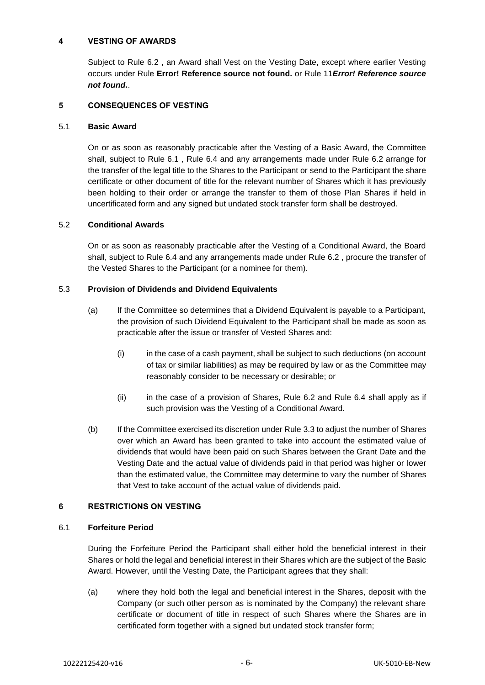### **4 VESTING OF AWARDS**

Subject to Rule [6.2](#page-8-0) , an Award shall Vest on the Vesting Date, except where earlier Vesting occurs under Rule **Error! Reference source not found.** or Rule [11](#page-12-0)*Error! Reference source not found.*.

### **5 CONSEQUENCES OF VESTING**

### 5.1 **Basic Award**

On or as soon as reasonably practicable after the Vesting of a Basic Award, the Committee shall, subject to Rule [6.1](#page-7-0) , Rule [6.4](#page-9-0) and any arrangements made under Rule [6.2](#page-8-0) arrange for the transfer of the legal title to the Shares to the Participant or send to the Participant the share certificate or other document of title for the relevant number of Shares which it has previously been holding to their order or arrange the transfer to them of those Plan Shares if held in uncertificated form and any signed but undated stock transfer form shall be destroyed.

### 5.2 **Conditional Awards**

On or as soon as reasonably practicable after the Vesting of a Conditional Award, the Board shall, subject to Rule [6.4](#page-9-0) and any arrangements made under Rule [6.2](#page-8-0) , procure the transfer of the Vested Shares to the Participant (or a nominee for them).

### 5.3 **Provision of Dividends and Dividend Equivalents**

- (a) If the Committee so determines that a Dividend Equivalent is payable to a Participant, the provision of such Dividend Equivalent to the Participant shall be made as soon as practicable after the issue or transfer of Vested Shares and:
	- (i) in the case of a cash payment, shall be subject to such deductions (on account of tax or similar liabilities) as may be required by law or as the Committee may reasonably consider to be necessary or desirable; or
	- (ii) in the case of a provision of Shares, Rule [6.2](#page-8-0) and Rule [6.4](#page-9-0) shall apply as if such provision was the Vesting of a Conditional Award.
- (b) If the Committee exercised its discretion under Rule [3.3](#page-5-2) to adjust the number of Shares over which an Award has been granted to take into account the estimated value of dividends that would have been paid on such Shares between the Grant Date and the Vesting Date and the actual value of dividends paid in that period was higher or lower than the estimated value, the Committee may determine to vary the number of Shares that Vest to take account of the actual value of dividends paid.

### **6 RESTRICTIONS ON VESTING**

#### <span id="page-7-0"></span>6.1 **Forfeiture Period**

During the Forfeiture Period the Participant shall either hold the beneficial interest in their Shares or hold the legal and beneficial interest in their Shares which are the subject of the Basic Award. However, until the Vesting Date, the Participant agrees that they shall:

(a) where they hold both the legal and beneficial interest in the Shares, deposit with the Company (or such other person as is nominated by the Company) the relevant share certificate or document of title in respect of such Shares where the Shares are in certificated form together with a signed but undated stock transfer form;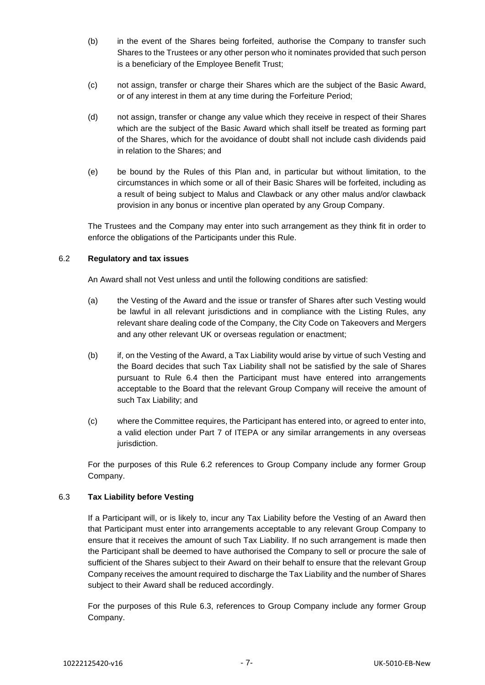- (b) in the event of the Shares being forfeited, authorise the Company to transfer such Shares to the Trustees or any other person who it nominates provided that such person is a beneficiary of the Employee Benefit Trust;
- (c) not assign, transfer or charge their Shares which are the subject of the Basic Award, or of any interest in them at any time during the Forfeiture Period;
- (d) not assign, transfer or change any value which they receive in respect of their Shares which are the subject of the Basic Award which shall itself be treated as forming part of the Shares, which for the avoidance of doubt shall not include cash dividends paid in relation to the Shares; and
- (e) be bound by the Rules of this Plan and, in particular but without limitation, to the circumstances in which some or all of their Basic Shares will be forfeited, including as a result of being subject to Malus and Clawback or any other malus and/or clawback provision in any bonus or incentive plan operated by any Group Company.

The Trustees and the Company may enter into such arrangement as they think fit in order to enforce the obligations of the Participants under this Rule.

### <span id="page-8-0"></span>6.2 **Regulatory and tax issues**

An Award shall not Vest unless and until the following conditions are satisfied:

- (a) the Vesting of the Award and the issue or transfer of Shares after such Vesting would be lawful in all relevant jurisdictions and in compliance with the Listing Rules, any relevant share dealing code of the Company, the City Code on Takeovers and Mergers and any other relevant UK or overseas regulation or enactment;
- (b) if, on the Vesting of the Award, a Tax Liability would arise by virtue of such Vesting and the Board decides that such Tax Liability shall not be satisfied by the sale of Shares pursuant to Rule [6.4](#page-9-0) then the Participant must have entered into arrangements acceptable to the Board that the relevant Group Company will receive the amount of such Tax Liability; and
- (c) where the Committee requires, the Participant has entered into, or agreed to enter into, a valid election under Part 7 of ITEPA or any similar arrangements in any overseas jurisdiction.

For the purposes of this Rule [6.2](#page-8-0) references to Group Company include any former Group Company.

### <span id="page-8-1"></span>6.3 **Tax Liability before Vesting**

If a Participant will, or is likely to, incur any Tax Liability before the Vesting of an Award then that Participant must enter into arrangements acceptable to any relevant Group Company to ensure that it receives the amount of such Tax Liability. If no such arrangement is made then the Participant shall be deemed to have authorised the Company to sell or procure the sale of sufficient of the Shares subject to their Award on their behalf to ensure that the relevant Group Company receives the amount required to discharge the Tax Liability and the number of Shares subject to their Award shall be reduced accordingly.

For the purposes of this Rule [6.3,](#page-8-1) references to Group Company include any former Group Company.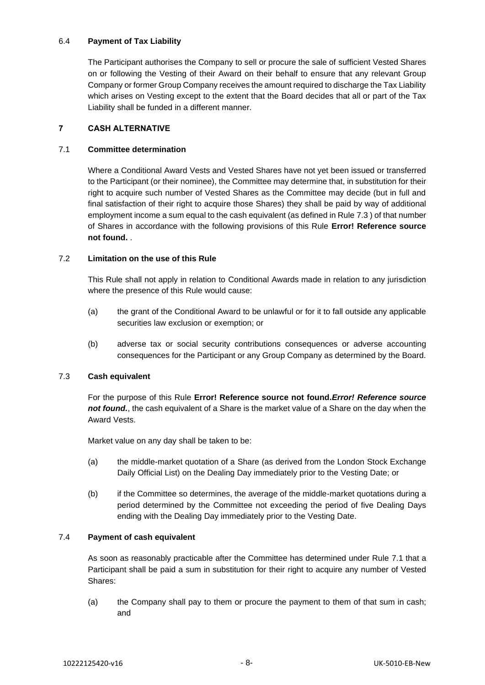### <span id="page-9-0"></span>6.4 **Payment of Tax Liability**

The Participant authorises the Company to sell or procure the sale of sufficient Vested Shares on or following the Vesting of their Award on their behalf to ensure that any relevant Group Company or former Group Company receives the amount required to discharge the Tax Liability which arises on Vesting except to the extent that the Board decides that all or part of the Tax Liability shall be funded in a different manner.

### **7 CASH ALTERNATIVE**

### <span id="page-9-2"></span>7.1 **Committee determination**

Where a Conditional Award Vests and Vested Shares have not yet been issued or transferred to the Participant (or their nominee), the Committee may determine that, in substitution for their right to acquire such number of Vested Shares as the Committee may decide (but in full and final satisfaction of their right to acquire those Shares) they shall be paid by way of additional employment income a sum equal to the cash equivalent (as defined in Rule [7.3](#page-9-1) ) of that number of Shares in accordance with the following provisions of this Rule **Error! Reference source not found.** .

### 7.2 **Limitation on the use of this Rule**

This Rule shall not apply in relation to Conditional Awards made in relation to any jurisdiction where the presence of this Rule would cause:

- (a) the grant of the Conditional Award to be unlawful or for it to fall outside any applicable securities law exclusion or exemption; or
- (b) adverse tax or social security contributions consequences or adverse accounting consequences for the Participant or any Group Company as determined by the Board.

### <span id="page-9-1"></span>7.3 **Cash equivalent**

For the purpose of this Rule **Error! Reference source not found.***Error! Reference source not found.*, the cash equivalent of a Share is the market value of a Share on the day when the Award Vests.

Market value on any day shall be taken to be:

- (a) the middle-market quotation of a Share (as derived from the London Stock Exchange Daily Official List) on the Dealing Day immediately prior to the Vesting Date; or
- (b) if the Committee so determines, the average of the middle-market quotations during a period determined by the Committee not exceeding the period of five Dealing Days ending with the Dealing Day immediately prior to the Vesting Date.

### 7.4 **Payment of cash equivalent**

As soon as reasonably practicable after the Committee has determined under Rule [7.1](#page-9-2) that a Participant shall be paid a sum in substitution for their right to acquire any number of Vested Shares:

(a) the Company shall pay to them or procure the payment to them of that sum in cash; and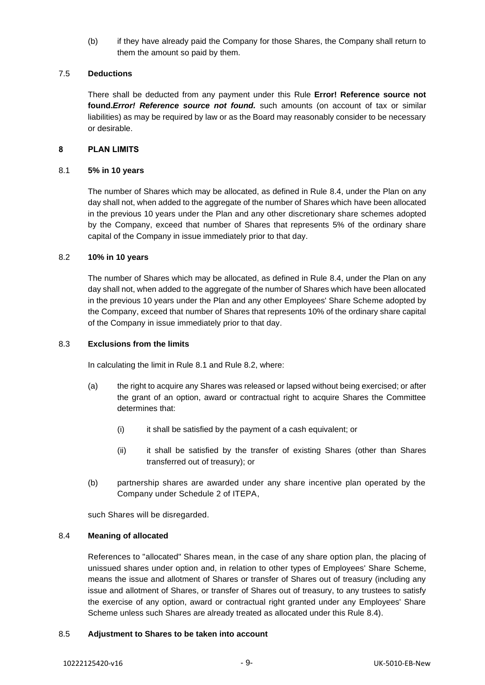(b) if they have already paid the Company for those Shares, the Company shall return to them the amount so paid by them.

#### 7.5 **Deductions**

There shall be deducted from any payment under this Rule **Error! Reference source not found.***Error! Reference source not found.* such amounts (on account of tax or similar liabilities) as may be required by law or as the Board may reasonably consider to be necessary or desirable.

#### <span id="page-10-3"></span>**8 PLAN LIMITS**

#### <span id="page-10-1"></span>8.1 **5% in 10 years**

The number of Shares which may be allocated, as defined in Rule [8.4,](#page-10-0) under the Plan on any day shall not, when added to the aggregate of the number of Shares which have been allocated in the previous 10 years under the Plan and any other discretionary share schemes adopted by the Company, exceed that number of Shares that represents 5% of the ordinary share capital of the Company in issue immediately prior to that day.

#### <span id="page-10-2"></span>8.2 **10% in 10 years**

The number of Shares which may be allocated, as defined in Rule [8.4,](#page-10-0) under the Plan on any day shall not, when added to the aggregate of the number of Shares which have been allocated in the previous 10 years under the Plan and any other Employees' Share Scheme adopted by the Company, exceed that number of Shares that represents 10% of the ordinary share capital of the Company in issue immediately prior to that day.

#### 8.3 **Exclusions from the limits**

In calculating the limit in Rule [8.1](#page-10-1) and Rule [8.2,](#page-10-2) where:

- (a) the right to acquire any Shares was released or lapsed without being exercised; or after the grant of an option, award or contractual right to acquire Shares the Committee determines that:
	- (i) it shall be satisfied by the payment of a cash equivalent; or
	- (ii) it shall be satisfied by the transfer of existing Shares (other than Shares transferred out of treasury); or
- (b) partnership shares are awarded under any share incentive plan operated by the Company under Schedule 2 of ITEPA,

such Shares will be disregarded.

#### <span id="page-10-0"></span>8.4 **Meaning of allocated**

References to "allocated" Shares mean, in the case of any share option plan, the placing of unissued shares under option and, in relation to other types of Employees' Share Scheme, means the issue and allotment of Shares or transfer of Shares out of treasury (including any issue and allotment of Shares, or transfer of Shares out of treasury, to any trustees to satisfy the exercise of any option, award or contractual right granted under any Employees' Share Scheme unless such Shares are already treated as allocated under this Rule [8.4\)](#page-10-0).

#### 8.5 **Adjustment to Shares to be taken into account**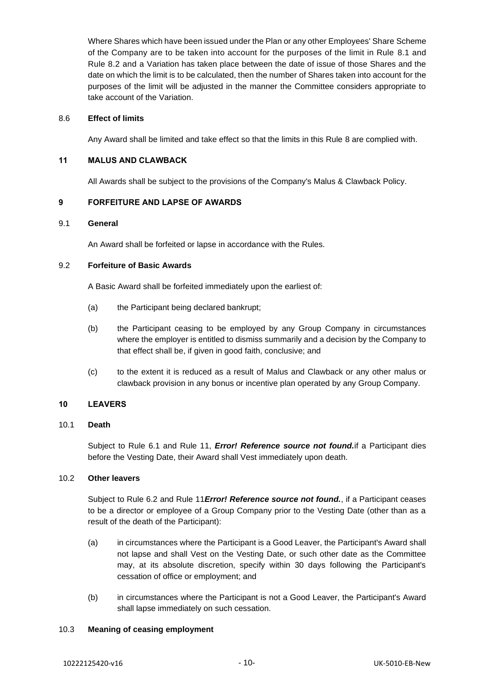Where Shares which have been issued under the Plan or any other Employees' Share Scheme of the Company are to be taken into account for the purposes of the limit in Rule [8.1](#page-10-1) and Rule [8.2](#page-10-2) and a Variation has taken place between the date of issue of those Shares and the date on which the limit is to be calculated, then the number of Shares taken into account for the purposes of the limit will be adjusted in the manner the Committee considers appropriate to take account of the Variation.

#### 8.6 **Effect of limits**

Any Award shall be limited and take effect so that the limits in this Rule [8](#page-10-3) are complied with.

### **11 MALUS AND CLAWBACK**

All Awards shall be subject to the provisions of the Company's Malus & Clawback Policy.

### **9 FORFEITURE AND LAPSE OF AWARDS**

#### 9.1 **General**

An Award shall be forfeited or lapse in accordance with the Rules.

### 9.2 **Forfeiture of Basic Awards**

A Basic Award shall be forfeited immediately upon the earliest of:

- (a) the Participant being declared bankrupt;
- (b) the Participant ceasing to be employed by any Group Company in circumstances where the employer is entitled to dismiss summarily and a decision by the Company to that effect shall be, if given in good faith, conclusive; and
- (c) to the extent it is reduced as a result of Malus and Clawback or any other malus or clawback provision in any bonus or incentive plan operated by any Group Company.

### **10 LEAVERS**

#### <span id="page-11-0"></span>10.1 **Death**

Subject to Rule [6.1](#page-7-0) and Rule [11,](#page-12-0) *Error! Reference source not found.*if a Participant dies before the Vesting Date, their Award shall Vest immediately upon death.

### 10.2 **Other leavers**

Subject to Rule [6.2](#page-8-0) and Rule [11](#page-12-0)*Error! Reference source not found.*, if a Participant ceases to be a director or employee of a Group Company prior to the Vesting Date (other than as a result of the death of the Participant):

- (a) in circumstances where the Participant is a Good Leaver, the Participant's Award shall not lapse and shall Vest on the Vesting Date, or such other date as the Committee may, at its absolute discretion, specify within 30 days following the Participant's cessation of office or employment; and
- (b) in circumstances where the Participant is not a Good Leaver, the Participant's Award shall lapse immediately on such cessation.

#### 10.3 **Meaning of ceasing employment**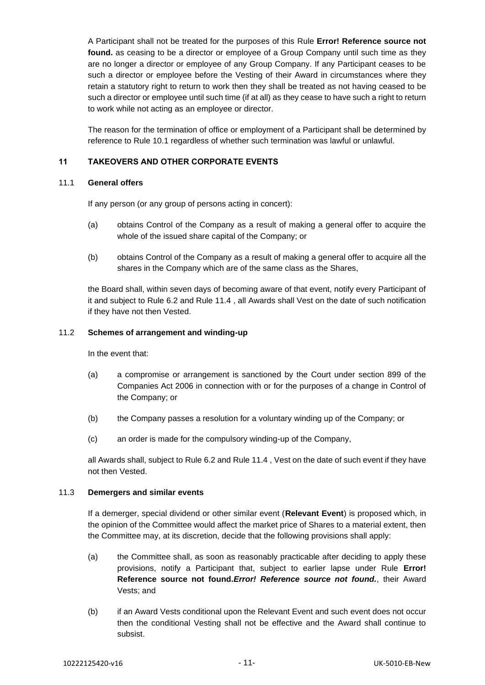A Participant shall not be treated for the purposes of this Rule **Error! Reference source not found.** as ceasing to be a director or employee of a Group Company until such time as they are no longer a director or employee of any Group Company. If any Participant ceases to be such a director or employee before the Vesting of their Award in circumstances where they retain a statutory right to return to work then they shall be treated as not having ceased to be such a director or employee until such time (if at all) as they cease to have such a right to return to work while not acting as an employee or director.

The reason for the termination of office or employment of a Participant shall be determined by reference to Rule [10.1](#page-11-0) regardless of whether such termination was lawful or unlawful.

### <span id="page-12-0"></span>**11 TAKEOVERS AND OTHER CORPORATE EVENTS**

### <span id="page-12-1"></span>11.1 **General offers**

If any person (or any group of persons acting in concert):

- (a) obtains Control of the Company as a result of making a general offer to acquire the whole of the issued share capital of the Company; or
- (b) obtains Control of the Company as a result of making a general offer to acquire all the shares in the Company which are of the same class as the Shares,

the Board shall, within seven days of becoming aware of that event, notify every Participant of it and subject to Rule [6.2](#page-8-0) and Rule [11.4](#page-13-0) , all Awards shall Vest on the date of such notification if they have not then Vested.

#### <span id="page-12-3"></span>11.2 **Schemes of arrangement and winding-up**

In the event that:

- <span id="page-12-2"></span>(a) a compromise or arrangement is sanctioned by the Court under section 899 of the Companies Act 2006 in connection with or for the purposes of a change in Control of the Company; or
- (b) the Company passes a resolution for a voluntary winding up of the Company; or
- (c) an order is made for the compulsory winding-up of the Company,

all Awards shall, subject to Rule [6.2](#page-8-0) and Rule [11.4](#page-13-0) , Vest on the date of such event if they have not then Vested.

### 11.3 **Demergers and similar events**

If a demerger, special dividend or other similar event (**Relevant Event**) is proposed which, in the opinion of the Committee would affect the market price of Shares to a material extent, then the Committee may, at its discretion, decide that the following provisions shall apply:

- (a) the Committee shall, as soon as reasonably practicable after deciding to apply these provisions, notify a Participant that, subject to earlier lapse under Rule **Error! Reference source not found.***Error! Reference source not found.*, their Award Vests; and
- (b) if an Award Vests conditional upon the Relevant Event and such event does not occur then the conditional Vesting shall not be effective and the Award shall continue to subsist.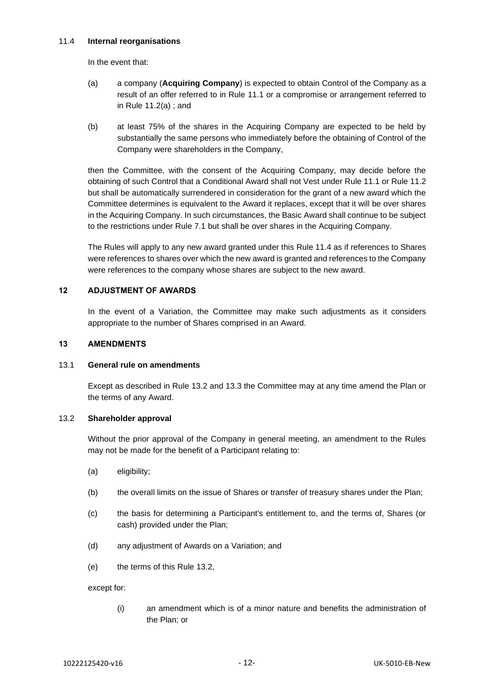### <span id="page-13-0"></span>11.4 **Internal reorganisations**

In the event that:

- (a) a company (**Acquiring Company**) is expected to obtain Control of the Company as a result of an offer referred to in Rule [11.1](#page-12-1) or a compromise or arrangement referred to in Rule [11.2\(a\)](#page-12-2) ; and
- (b) at least 75% of the shares in the Acquiring Company are expected to be held by substantially the same persons who immediately before the obtaining of Control of the Company were shareholders in the Company,

then the Committee, with the consent of the Acquiring Company, may decide before the obtaining of such Control that a Conditional Award shall not Vest under Rule [11.1](#page-12-1) or Rule [11.2](#page-12-3) but shall be automatically surrendered in consideration for the grant of a new award which the Committee determines is equivalent to the Award it replaces, except that it will be over shares in the Acquiring Company. In such circumstances, the Basic Award shall continue to be subject to the restrictions under Rule [7.1](#page-9-2) but shall be over shares in the Acquiring Company.

The Rules will apply to any new award granted under this Rule [11.4](#page-13-0) as if references to Shares were references to shares over which the new award is granted and references to the Company were references to the company whose shares are subject to the new award.

### **12 ADJUSTMENT OF AWARDS**

In the event of a Variation, the Committee may make such adjustments as it considers appropriate to the number of Shares comprised in an Award.

### **13 AMENDMENTS**

### <span id="page-13-2"></span>13.1 **General rule on amendments**

Except as described in Rule [13.2](#page-13-1) and [13.3](#page-14-0) the Committee may at any time amend the Plan or the terms of any Award.

### <span id="page-13-1"></span>13.2 **Shareholder approval**

Without the prior approval of the Company in general meeting, an amendment to the Rules may not be made for the benefit of a Participant relating to:

- (a) eligibility;
- (b) the overall limits on the issue of Shares or transfer of treasury shares under the Plan;
- (c) the basis for determining a Participant's entitlement to, and the terms of, Shares (or cash) provided under the Plan;
- (d) any adjustment of Awards on a Variation; and
- (e) the terms of this Rule [13.2,](#page-13-1)

except for:

(i) an amendment which is of a minor nature and benefits the administration of the Plan; or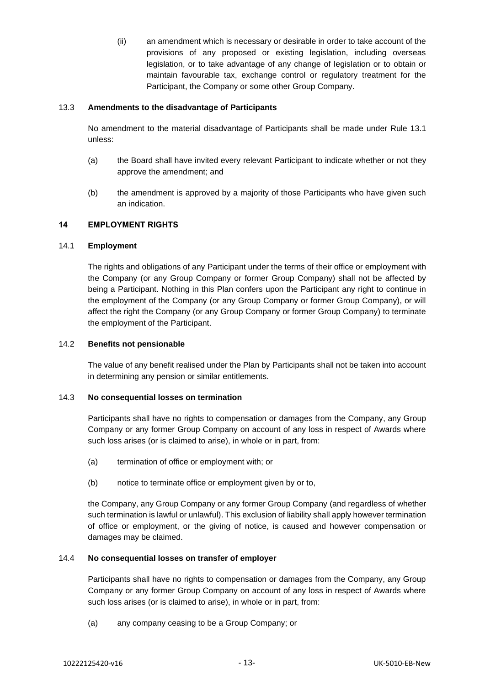(ii) an amendment which is necessary or desirable in order to take account of the provisions of any proposed or existing legislation, including overseas legislation, or to take advantage of any change of legislation or to obtain or maintain favourable tax, exchange control or regulatory treatment for the Participant, the Company or some other Group Company.

### <span id="page-14-0"></span>13.3 **Amendments to the disadvantage of Participants**

No amendment to the material disadvantage of Participants shall be made under Rule [13.1](#page-13-2) unless:

- (a) the Board shall have invited every relevant Participant to indicate whether or not they approve the amendment; and
- (b) the amendment is approved by a majority of those Participants who have given such an indication.

#### **14 EMPLOYMENT RIGHTS**

### 14.1 **Employment**

The rights and obligations of any Participant under the terms of their office or employment with the Company (or any Group Company or former Group Company) shall not be affected by being a Participant. Nothing in this Plan confers upon the Participant any right to continue in the employment of the Company (or any Group Company or former Group Company), or will affect the right the Company (or any Group Company or former Group Company) to terminate the employment of the Participant.

### 14.2 **Benefits not pensionable**

The value of any benefit realised under the Plan by Participants shall not be taken into account in determining any pension or similar entitlements.

### 14.3 **No consequential losses on termination**

Participants shall have no rights to compensation or damages from the Company, any Group Company or any former Group Company on account of any loss in respect of Awards where such loss arises (or is claimed to arise), in whole or in part, from:

- (a) termination of office or employment with; or
- (b) notice to terminate office or employment given by or to,

the Company, any Group Company or any former Group Company (and regardless of whether such termination is lawful or unlawful). This exclusion of liability shall apply however termination of office or employment, or the giving of notice, is caused and however compensation or damages may be claimed.

### 14.4 **No consequential losses on transfer of employer**

Participants shall have no rights to compensation or damages from the Company, any Group Company or any former Group Company on account of any loss in respect of Awards where such loss arises (or is claimed to arise), in whole or in part, from:

(a) any company ceasing to be a Group Company; or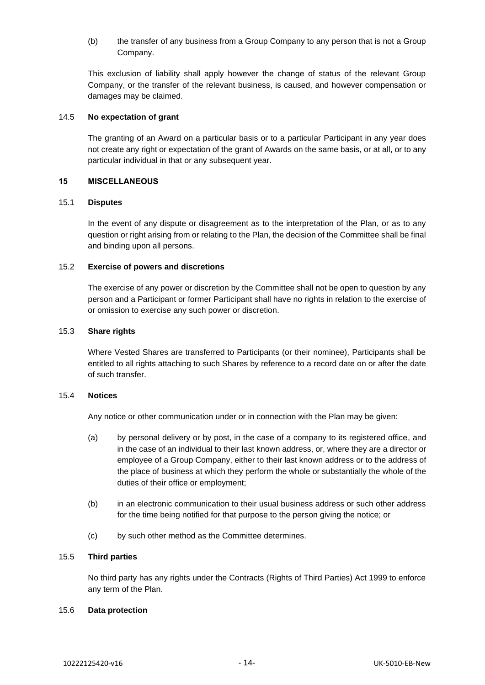(b) the transfer of any business from a Group Company to any person that is not a Group Company.

This exclusion of liability shall apply however the change of status of the relevant Group Company, or the transfer of the relevant business, is caused, and however compensation or damages may be claimed.

#### 14.5 **No expectation of grant**

The granting of an Award on a particular basis or to a particular Participant in any year does not create any right or expectation of the grant of Awards on the same basis, or at all, or to any particular individual in that or any subsequent year.

#### **15 MISCELLANEOUS**

#### 15.1 **Disputes**

In the event of any dispute or disagreement as to the interpretation of the Plan, or as to any question or right arising from or relating to the Plan, the decision of the Committee shall be final and binding upon all persons.

#### 15.2 **Exercise of powers and discretions**

The exercise of any power or discretion by the Committee shall not be open to question by any person and a Participant or former Participant shall have no rights in relation to the exercise of or omission to exercise any such power or discretion.

#### 15.3 **Share rights**

Where Vested Shares are transferred to Participants (or their nominee), Participants shall be entitled to all rights attaching to such Shares by reference to a record date on or after the date of such transfer.

#### 15.4 **Notices**

Any notice or other communication under or in connection with the Plan may be given:

- (a) by personal delivery or by post, in the case of a company to its registered office, and in the case of an individual to their last known address, or, where they are a director or employee of a Group Company, either to their last known address or to the address of the place of business at which they perform the whole or substantially the whole of the duties of their office or employment;
- (b) in an electronic communication to their usual business address or such other address for the time being notified for that purpose to the person giving the notice; or
- (c) by such other method as the Committee determines.

#### 15.5 **Third parties**

No third party has any rights under the Contracts (Rights of Third Parties) Act 1999 to enforce any term of the Plan.

### 15.6 **Data protection**